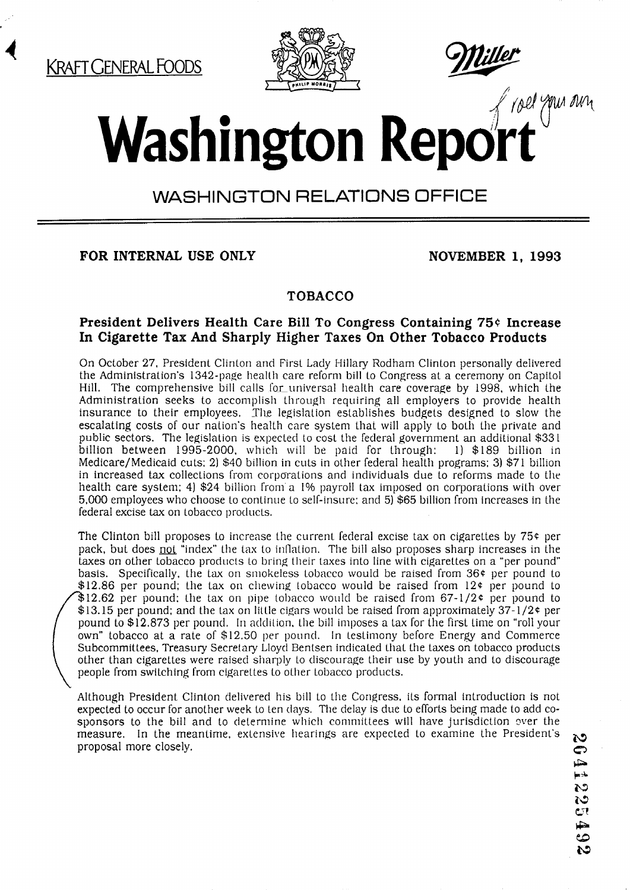*I* 



# **Washington Report**

# WASHINGTON RELATIONS OFFICE

**FOR INTERNAL USE ONLY NOVEMBER 1, 1993** 

# **TOBACCO**

#### President Delivers Health Care Bill To Congress Containing 75¢ Increase **In Cigarette Tax And Sharply Higher Taxes On Other Tobacco Products**

On October 27, President Clinton and First Lady Hillary Rodham Clinton personally delivered the Administration's 1342-page health care reform bill lo Congress at a ceremony on Capitol Hill. The comprehensive bill calls for universal health care coverage by 1998, which the Administration seeks to accomplish through requiring all employers to provide health insurance to their employees. The legislation establishes budgets designed to slow the escalating costs of our nation's health care system that will apply to both the private and public sectors. The legislation is expected to cost the federal government an additional \$331 billion between 1995-2000, which will be paid for through: 1) \$189 billion in billion between 1995-2000, which will be paid for through: Medicare/Medicaid cuts; 21 \$40 billion in cuts in other federal health programs; 3) \$71 billion in increased tax collections from corporations and individuals due to reforms made to the health care system; 4) \$24 billion from a 1% payroll tax imposed on corporations with over 5,000 employees who choose to continue to self-insure; and 5) \$65 billion from increases in the federal excise tax on tobacco products.

The Clinton bill proposes to increase the current federal excise tax on cigarettes by  $75¢$  per pack, but does not "index" the tax to inflation. The bill also proposes sharp increases in the taxes on other tobacco products to bring their taxes into line with cigarettes on a "per pound" basis. Specifically, the tax on sniokeless tobacco would be raised from 36e per pound to \$12.86 per pound; the tax on chewing tobacco would be raised from 12¢ per pound to  $$12.62$  per pound; the tax on pipe tobacco would be raised from 67-1/2¢ per pound to  $$13.15$  per pound; and the tax on little cigars would be raised from approximately 37-1/2 $\epsilon$  per pound to \$12.873 per pound. In addition, the bill imposes a tax for the first time on "roll your own" tobacco at a rate of \$12.50 per pound. In testimony before Energy and Commerce Subcommittees, Treasury Secretary Lloyd Bentsen indicated that the taxes on tobacco products other than cigarettes were raised sharply to discourage their use by youth and to discourage<br>people from switching from cigarettes to other tobacco products.

Although President Clinton delivered his bill to the Congress. its formal introduction is not expected to occur for another week Lo ten clays. The delay is due to efforts being made to add cosponsors to the bill and to determine which committees will have jurisdiction over the measure. In the meantime, extensive hearings are expected to examine the President's proposal more closely.

29 ඏ j. 122549  $\mathbf{c}$